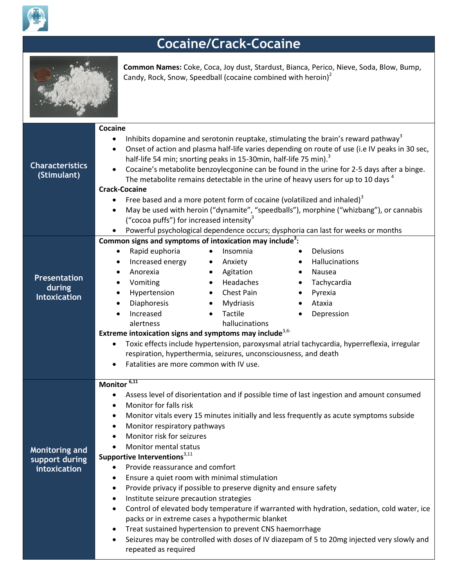

## **Cocaine/Crack-Cocaine**



**Common Names:** Coke, Coca, Joy dust, Stardust, Bianca, Perico, Nieve, Soda, Blow, Bump, Candy, Rock, Snow, Speedball (cocaine combined with heroin)<sup>2</sup>

| <b>Characteristics</b><br>(Stimulant)                   | Cocaine<br>Inhibits dopamine and serotonin reuptake, stimulating the brain's reward pathway <sup>3</sup><br>$\bullet$<br>Onset of action and plasma half-life varies depending on route of use (i.e IV peaks in 30 sec,<br>$\bullet$<br>half-life 54 min; snorting peaks in 15-30min, half-life 75 min). <sup>3</sup><br>Cocaine's metabolite benzoylecgonine can be found in the urine for 2-5 days after a binge.<br>$\bullet$<br>The metabolite remains detectable in the urine of heavy users for up to 10 days <sup>4</sup><br><b>Crack-Cocaine</b><br>Free based and a more potent form of cocaine (volatilized and inhaled) <sup>3</sup><br>May be used with heroin ("dynamite", "speedballs"), morphine ("whizbang"), or cannabis<br>$\bullet$<br>("cocoa puffs") for increased intensity <sup>3</sup>                                                                                                                                                                                                 |  |  |
|---------------------------------------------------------|----------------------------------------------------------------------------------------------------------------------------------------------------------------------------------------------------------------------------------------------------------------------------------------------------------------------------------------------------------------------------------------------------------------------------------------------------------------------------------------------------------------------------------------------------------------------------------------------------------------------------------------------------------------------------------------------------------------------------------------------------------------------------------------------------------------------------------------------------------------------------------------------------------------------------------------------------------------------------------------------------------------|--|--|
|                                                         | Powerful psychological dependence occurs; dysphoria can last for weeks or months<br>Common signs and symptoms of intoxication may include <sup>3</sup> :                                                                                                                                                                                                                                                                                                                                                                                                                                                                                                                                                                                                                                                                                                                                                                                                                                                       |  |  |
| <b>Presentation</b><br>during<br><b>Intoxication</b>    | Rapid euphoria<br>Delusions<br>Insomnia<br>$\bullet$<br>$\bullet$<br>Increased energy<br>Hallucinations<br>Anxiety<br>$\bullet$<br>$\bullet$<br>Anorexia<br>Agitation<br>Nausea<br>$\bullet$<br>$\bullet$<br>$\bullet$<br>Headaches<br>Tachycardia<br>Vomiting<br>$\bullet$<br>$\bullet$<br>$\bullet$<br>Hypertension<br>• Chest Pain<br>Pyrexia<br>$\bullet$<br>$\bullet$<br>Diaphoresis<br>Mydriasis<br>Ataxia<br>$\bullet$<br>$\bullet$<br>$\bullet$<br>Tactile<br>Increased<br>Depression<br>$\bullet$<br>$\bullet$<br>$\bullet$<br>hallucinations<br>alertness<br>Extreme intoxication signs and symptoms may include <sup>3,6:</sup><br>Toxic effects include hypertension, paroxysmal atrial tachycardia, hyperreflexia, irregular<br>٠<br>respiration, hyperthermia, seizures, unconsciousness, and death<br>Fatalities are more common with IV use.                                                                                                                                                   |  |  |
| <b>Monitoring and</b><br>support during<br>intoxication | Monitor <sup>6,11</sup><br>Assess level of disorientation and if possible time of last ingestion and amount consumed<br>$\bullet$<br>Monitor for falls risk<br>$\bullet$<br>Monitor vitals every 15 minutes initially and less frequently as acute symptoms subside<br>$\bullet$<br>Monitor respiratory pathways<br>$\bullet$<br>Monitor risk for seizures<br>Monitor mental status<br>Supportive Interventions <sup>3,11</sup><br>Provide reassurance and comfort<br>Ensure a quiet room with minimal stimulation<br>$\bullet$<br>Provide privacy if possible to preserve dignity and ensure safety<br>$\bullet$<br>Institute seizure precaution strategies<br>٠<br>Control of elevated body temperature if warranted with hydration, sedation, cold water, ice<br>٠<br>packs or in extreme cases a hypothermic blanket<br>Treat sustained hypertension to prevent CNS haemorrhage<br>Seizures may be controlled with doses of IV diazepam of 5 to 20mg injected very slowly and<br>٠<br>repeated as required |  |  |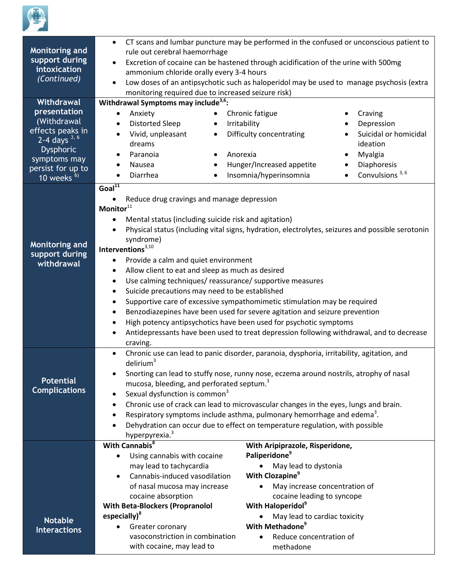

| Monitoring and<br>support during<br>intoxication<br>(Continued)                                                                                               | CT scans and lumbar puncture may be performed in the confused or unconscious patient to<br>$\bullet$<br>rule out cerebral haemorrhage<br>Excretion of cocaine can be hastened through acidification of the urine with 500mg<br>$\bullet$<br>ammonium chloride orally every 3-4 hours<br>Low doses of an antipsychotic such as haloperidol may be used to manage psychosis (extra<br>$\bullet$<br>monitoring required due to increased seizure risk)                                                                                                                                                                                                                                                                                                                                                                                                                                                                                                 |                                                                                                                                                                                                                                                                                                                            |  |
|---------------------------------------------------------------------------------------------------------------------------------------------------------------|-----------------------------------------------------------------------------------------------------------------------------------------------------------------------------------------------------------------------------------------------------------------------------------------------------------------------------------------------------------------------------------------------------------------------------------------------------------------------------------------------------------------------------------------------------------------------------------------------------------------------------------------------------------------------------------------------------------------------------------------------------------------------------------------------------------------------------------------------------------------------------------------------------------------------------------------------------|----------------------------------------------------------------------------------------------------------------------------------------------------------------------------------------------------------------------------------------------------------------------------------------------------------------------------|--|
| Withdrawal<br>presentation<br>(Withdrawal<br>effects peaks in<br>$2 - 4$ days $3, 6$<br><b>Dysphoric</b><br>symptoms may<br>persist for up to<br>10 weeks $6$ | Withdrawal Symptoms may include <sup>3,6</sup> :<br>Anxiety<br><b>Distorted Sleep</b><br>Vivid, unpleasant<br>$\bullet$<br>dreams<br>Paranoia<br>Nausea<br>$\bullet$<br>Diarrhea<br>$\bullet$                                                                                                                                                                                                                                                                                                                                                                                                                                                                                                                                                                                                                                                                                                                                                       | Chronic fatigue<br>Craving<br>Irritability<br>Depression<br>Difficulty concentrating<br>Suicidal or homicidal<br>ideation<br>Myalgia<br>Anorexia<br>Hunger/Increased appetite<br>Diaphoresis<br>Convulsions <sup>3,6</sup><br>Insomnia/hyperinsomnia                                                                       |  |
| <b>Monitoring and</b><br>support during<br>withdrawal                                                                                                         | Goal $\overline{11}$<br>Reduce drug cravings and manage depression<br>Monitor <sup>11</sup><br>Mental status (including suicide risk and agitation)<br>$\bullet$<br>Physical status (including vital signs, hydration, electrolytes, seizures and possible serotonin<br>$\bullet$<br>syndrome)<br>Interventions $3,10$<br>Provide a calm and quiet environment<br>$\bullet$<br>Allow client to eat and sleep as much as desired<br>$\bullet$<br>Use calming techniques/ reassurance/ supportive measures<br>$\bullet$<br>Suicide precautions may need to be established<br>٠<br>Supportive care of excessive sympathomimetic stimulation may be required<br>$\bullet$<br>Benzodiazepines have been used for severe agitation and seizure prevention<br>$\bullet$<br>High potency antipsychotics have been used for psychotic symptoms<br>٠<br>Antidepressants have been used to treat depression following withdrawal, and to decrease<br>$\bullet$ |                                                                                                                                                                                                                                                                                                                            |  |
| <b>Potential</b><br><b>Complications</b>                                                                                                                      | craving.<br>Chronic use can lead to panic disorder, paranoia, dysphoria, irritability, agitation, and<br>$\bullet$<br>delirium <sup>3</sup><br>Snorting can lead to stuffy nose, runny nose, eczema around nostrils, atrophy of nasal<br>٠<br>mucosa, bleeding, and perforated septum. <sup>3</sup><br>Sexual dysfunction is common <sup>3</sup><br>٠<br>Chronic use of crack can lead to microvascular changes in the eyes, lungs and brain.<br>$\bullet$<br>Respiratory symptoms include asthma, pulmonary hemorrhage and edema <sup>3</sup> .<br>$\bullet$<br>Dehydration can occur due to effect on temperature regulation, with possible<br>$\bullet$<br>hyperpyrexia. <sup>3</sup>                                                                                                                                                                                                                                                            |                                                                                                                                                                                                                                                                                                                            |  |
| <b>Notable</b><br><b>Interactions</b>                                                                                                                         | With Cannabis <sup>8</sup><br>Using cannabis with cocaine<br>$\bullet$<br>may lead to tachycardia<br>Cannabis-induced vasodilation<br>of nasal mucosa may increase<br>cocaine absorption<br><b>With Beta-Blockers (Propranolol</b><br>especially) <sup>8</sup><br>Greater coronary<br>vasoconstriction in combination<br>with cocaine, may lead to                                                                                                                                                                                                                                                                                                                                                                                                                                                                                                                                                                                                  | With Aripiprazole, Risperidone,<br>Paliperidone <sup>9</sup><br>May lead to dystonia<br>With Clozapine <sup>9</sup><br>May increase concentration of<br>cocaine leading to syncope<br>With Haloperidol <sup>9</sup><br>May lead to cardiac toxicity<br>With Methadone <sup>9</sup><br>Reduce concentration of<br>methadone |  |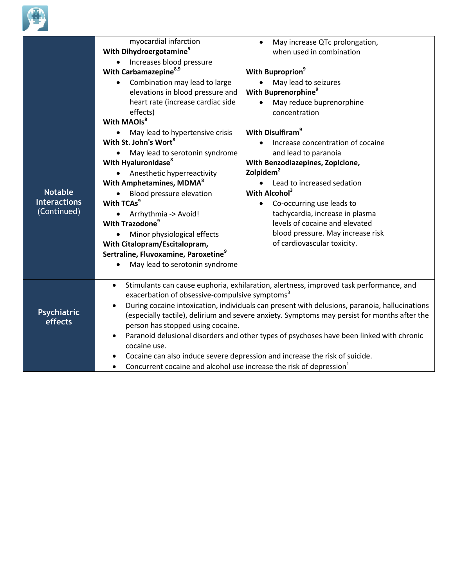

|                        | myocardial infarction<br>With Dihydroergotamine <sup>9</sup><br>Increases blood pressure                                                                                                                                           | May increase QTc prolongation,<br>when used in combination                                                        |  |
|------------------------|------------------------------------------------------------------------------------------------------------------------------------------------------------------------------------------------------------------------------------|-------------------------------------------------------------------------------------------------------------------|--|
|                        | With Carbamazepine <sup>8,9</sup>                                                                                                                                                                                                  | With Buproprion <sup>9</sup>                                                                                      |  |
|                        | Combination may lead to large<br>elevations in blood pressure and<br>heart rate (increase cardiac side<br>effects)                                                                                                                 | May lead to seizures<br>With Buprenorphine <sup>9</sup><br>May reduce buprenorphine<br>$\bullet$<br>concentration |  |
|                        | With MAOIs <sup>8</sup>                                                                                                                                                                                                            |                                                                                                                   |  |
|                        | May lead to hypertensive crisis                                                                                                                                                                                                    | With Disulfiram <sup>9</sup>                                                                                      |  |
|                        | With St. John's Wort <sup>8</sup>                                                                                                                                                                                                  | Increase concentration of cocaine                                                                                 |  |
|                        | May lead to serotonin syndrome                                                                                                                                                                                                     | and lead to paranoia                                                                                              |  |
|                        | With Hyaluronidase <sup>8</sup>                                                                                                                                                                                                    | With Benzodiazepines, Zopiclone,                                                                                  |  |
|                        | Anesthetic hyperreactivity                                                                                                                                                                                                         | Zolpidem <sup>2</sup>                                                                                             |  |
|                        | With Amphetamines, MDMA <sup>8</sup>                                                                                                                                                                                               | Lead to increased sedation                                                                                        |  |
| <b>Notable</b>         | Blood pressure elevation                                                                                                                                                                                                           | With Alcohol <sup>3</sup>                                                                                         |  |
| <b>Interactions</b>    | With TCAs <sup>9</sup>                                                                                                                                                                                                             | Co-occurring use leads to<br>$\bullet$                                                                            |  |
| (Continued)            | Arrhythmia -> Avoid!                                                                                                                                                                                                               | tachycardia, increase in plasma                                                                                   |  |
|                        | With Trazodone <sup>9</sup>                                                                                                                                                                                                        | levels of cocaine and elevated                                                                                    |  |
|                        | Minor physiological effects                                                                                                                                                                                                        | blood pressure. May increase risk                                                                                 |  |
|                        | With Citalopram/Escitalopram,                                                                                                                                                                                                      | of cardiovascular toxicity.                                                                                       |  |
|                        | Sertraline, Fluvoxamine, Paroxetine <sup>9</sup>                                                                                                                                                                                   |                                                                                                                   |  |
|                        | May lead to serotonin syndrome                                                                                                                                                                                                     |                                                                                                                   |  |
|                        | $\bullet$                                                                                                                                                                                                                          | Stimulants can cause euphoria, exhilaration, alertness, improved task performance, and                            |  |
|                        | exacerbation of obsessive-compulsive symptoms <sup>3</sup>                                                                                                                                                                         |                                                                                                                   |  |
| Psychiatric<br>effects | During cocaine intoxication, individuals can present with delusions, paranoia, hallucinations<br>(especially tactile), delirium and severe anxiety. Symptoms may persist for months after the<br>person has stopped using cocaine. |                                                                                                                   |  |
|                        | Paranoid delusional disorders and other types of psychoses have been linked with chronic<br>cocaine use.                                                                                                                           |                                                                                                                   |  |
|                        |                                                                                                                                                                                                                                    | Cocaine can also induce severe depression and increase the risk of suicide.                                       |  |
|                        | Concurrent cocaine and alcohol use increase the risk of depression <sup>1</sup><br>$\bullet$                                                                                                                                       |                                                                                                                   |  |